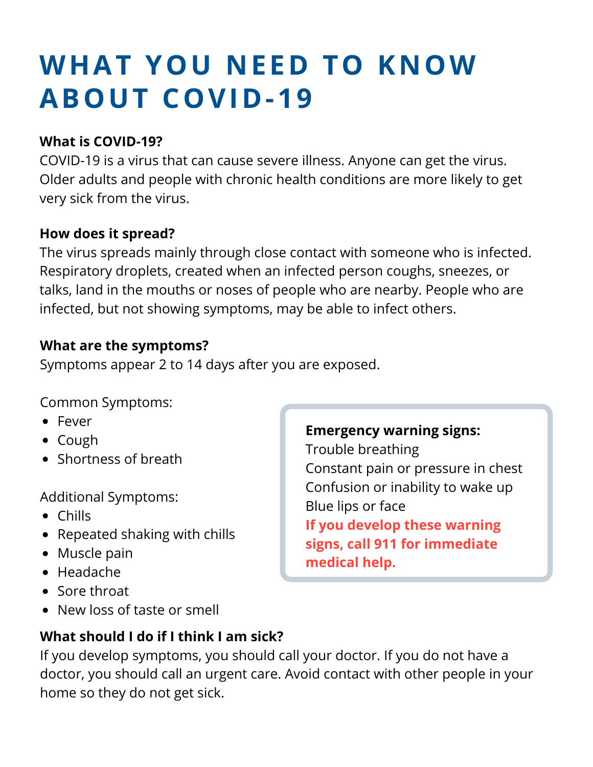# **W H A T Y O U N E E D T O K N O W A B O U T C O V I D - 1 9**

## **What is COVID-19?**

COVID-19 is a virus that can cause severe illness. Anyone can get the virus. Older adults and people with chronic health conditions are more likely to get very sick from the virus.

### **How does it spread?**

The virus spreads mainly through close contact with someone who is infected. Respiratory droplets, created when an infected person coughs, sneezes, or talks, land in the mouths or noses of people who are nearby. People who are infected, but not showing symptoms, may be able to infect others.

### **What are the symptoms?**

Symptoms appear 2 to 14 days after you are exposed.

Common Symptoms:

- Fever
- Cough
- Shortness of breath

Additional Symptoms:

- Chills
- Repeated shaking with chills
- Muscle pain
- Headache
- Sore throat
- New loss of taste or smell

#### **Emergency warning signs:**

Trouble breathing Constant pain or pressure in chest Confusion or inability to wake up Blue lips or face **If you develop these warning signs, call 911 for immediate medical help.**

## **What should I do if I think I am sick?**

If you develop symptoms, you should call your doctor. If you do not have a doctor, you should call an urgent care. Avoid contact with other people in your home so they do not get sick.